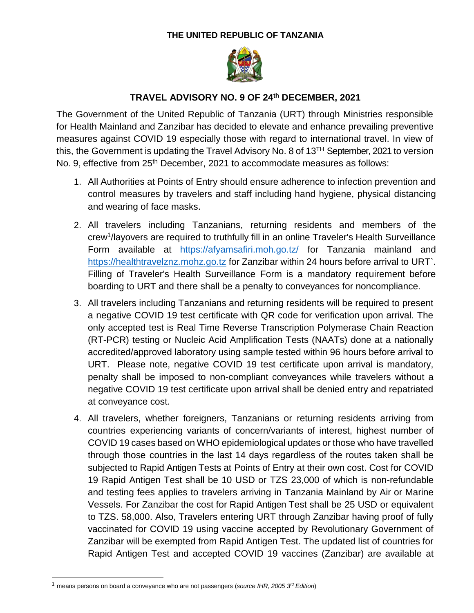## **THE UNITED REPUBLIC OF TANZANIA**



## **TRAVEL ADVISORY NO. 9 OF 24th DECEMBER, 2021**

The Government of the United Republic of Tanzania (URT) through Ministries responsible for Health Mainland and Zanzibar has decided to elevate and enhance prevailing preventive measures against COVID 19 especially those with regard to international travel. In view of this, the Government is updating the Travel Advisory No. 8 of  $13<sup>TH</sup>$  September, 2021 to version No. 9, effective from 25<sup>th</sup> December, 2021 to accommodate measures as follows:

- 1. All Authorities at Points of Entry should ensure adherence to infection prevention and control measures by travelers and staff including hand hygiene, physical distancing and wearing of face masks.
- 2. All travelers including Tanzanians, returning residents and members of the crew<sup>1</sup>/layovers are required to truthfully fill in an online Traveler's Health Surveillance Form available at <https://afyamsafiri.moh.go.tz/> for Tanzania mainland and [https://healthtravelznz.mohz.go.tz](https://healthtravelznz.mohz.go.tz/) for Zanzibar within 24 hours before arrival to URT`. Filling of Traveler's Health Surveillance Form is a mandatory requirement before boarding to URT and there shall be a penalty to conveyances for noncompliance.
- 3. All travelers including Tanzanians and returning residents will be required to present a negative COVID 19 test certificate with QR code for verification upon arrival. The only accepted test is Real Time Reverse Transcription Polymerase Chain Reaction (RT-PCR) testing or Nucleic Acid Amplification Tests (NAATs) done at a nationally accredited/approved laboratory using sample tested within 96 hours before arrival to URT. Please note, negative COVID 19 test certificate upon arrival is mandatory, penalty shall be imposed to non-compliant conveyances while travelers without a negative COVID 19 test certificate upon arrival shall be denied entry and repatriated at conveyance cost.
- 4. All travelers, whether foreigners, Tanzanians or returning residents arriving from countries experiencing variants of concern/variants of interest, highest number of COVID 19 cases based on WHO epidemiological updates or those who have travelled through those countries in the last 14 days regardless of the routes taken shall be subjected to Rapid Antigen Tests at Points of Entry at their own cost. Cost for COVID 19 Rapid Antigen Test shall be 10 USD or TZS 23,000 of which is non-refundable and testing fees applies to travelers arriving in Tanzania Mainland by Air or Marine Vessels. For Zanzibar the cost for Rapid Antigen Test shall be 25 USD or equivalent to TZS. 58,000. Also, Travelers entering URT through Zanzibar having proof of fully vaccinated for COVID 19 using vaccine accepted by Revolutionary Government of Zanzibar will be exempted from Rapid Antigen Test. The updated list of countries for Rapid Antigen Test and accepted COVID 19 vaccines (Zanzibar) are available at

 $\overline{a}$ 

<sup>1</sup> means persons on board a conveyance who are not passengers (*source IHR, 2005 3rd Edition*)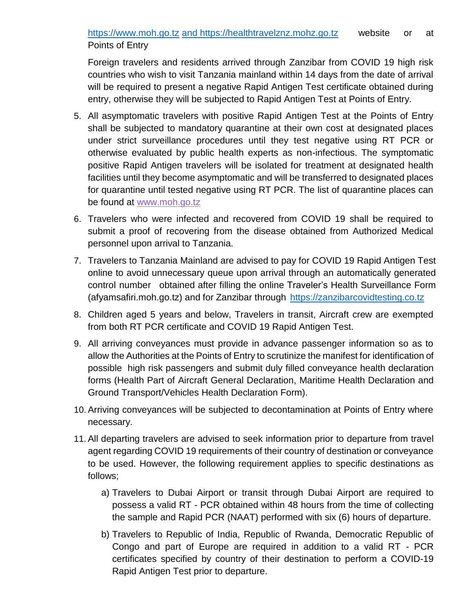Foreign travelers and residents arrived through Zanzibar from COVID 19 high risk countries who wish to visit Tanzania mainland within 14 days from the date of arrival will be required to present a negative Rapid Antigen Test certificate obtained during entry, otherwise they will be subjected to Rapid Antigen Test at Points of Entry.

- 5. All asymptomatic travelers with positive Rapid Antigen Test at the Points of Entry shall be subjected to mandatory quarantine at their own cost at designated places under strict surveillance procedures until they test negative using RT PCR or otherwise evaluated by public health experts as non-infectious. The symptomatic positive Rapid Antigen travelers will be isolated for treatment at designated health facilities until they become asymptomatic and will be transferred to designated places for quarantine until tested negative using RT PCR. The list of quarantine places can be found at [www.moh.go.tz](http://www.moh.go.tz/)
- 6. Travelers who were infected and recovered from COVID 19 shall be required to submit a proof of recovering from the disease obtained from Authorized Medical personnel upon arrival to Tanzania.
- 7. Travelers to Tanzania Mainland are advised to pay for COVID 19 Rapid Antigen Test online to avoid unnecessary queue upon arrival through an automatically generated control number obtained after filling the online Traveler's Health Surveillance Form (afyamsafiri.moh.go.tz) and for Zanzibar through [https://zanzibarcovidtesting.co.tz](https://zanzibarcovidtesting.co.tz/)
- 8. Children aged 5 years and below, Travelers in transit, Aircraft crew are exempted from both RT PCR certificate and COVID 19 Rapid Antigen Test.
- 9. All arriving conveyances must provide in advance passenger information so as to allow the Authorities at the Points of Entry to scrutinize the manifest for identification of possible high risk passengers and submit duly filled conveyance health declaration forms (Health Part of Aircraft General Declaration, Maritime Health Declaration and Ground Transport/Vehicles Health Declaration Form).
- 10. Arriving conveyances will be subjected to decontamination at Points of Entry where necessary.
- 11. All departing travelers are advised to seek information prior to departure from travel agent regarding COVID 19 requirements of their country of destination or conveyance to be used. However, the following requirement applies to specific destinations as follows;
	- a) Travelers to Dubai Airport or transit through Dubai Airport are required to possess a valid RT - PCR obtained within 48 hours from the time of collecting the sample and Rapid PCR (NAAT) performed with six (6) hours of departure.
	- b) Travelers to Republic of India, Republic of Rwanda, Democratic Republic of Congo and part of Europe are required in addition to a valid RT - PCR certificates specified by country of their destination to perform a COVID-19 Rapid Antigen Test prior to departure.